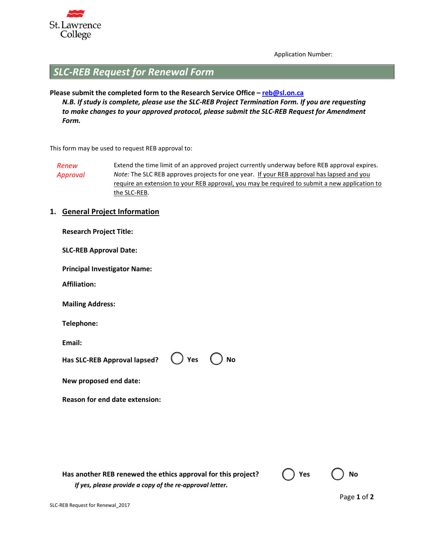

Application Number:

# *SLC-REB Request for Renewal Form*

## **Please submit the completed form to the Research Service Office – reb@sl.on.ca** *N.B. If study is complete, please use the SLC-REB Project Termination Form. If you are requesting to make changes to your approved protocol, please submit the SLC-REB Request for Amendment Form.*

This form may be used to request REB approval to:

*Renew Approval* Extend the time limit of an approved project currently underway before REB approval expires. *Note:* The SLC REB approves projects for one year. If your REB approval has lapsed and you require an extension to your REB approval, you may be required to submit a new application to the SLC-REB.

### **1. General Project Information**

**Research Project Title:**

**SLC-REB Approval Date:**

**Principal Investigator Name:**

**Affiliation:**

**Mailing Address:**

**Telephone:**

**Email:**

| Has SLC-REB Approval lapsed? $\bigcirc$ Yes $\bigcirc$ No |  |
|-----------------------------------------------------------|--|
|                                                           |  |

**New proposed end date:**

**Reason for end date extension:**

| Has another REB renewed the ethics approval for this project? | $\bigcup$ Yes | $\bigcup$ No |
|---------------------------------------------------------------|---------------|--------------|
| If yes, please provide a copy of the re-approval letter.      |               |              |